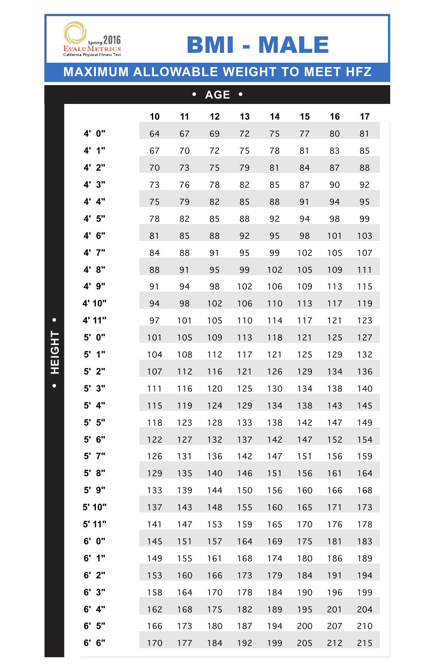|                    |     | $\bullet$ | <b>AGE</b> | $\bullet$ |     |     |     |     |
|--------------------|-----|-----------|------------|-----------|-----|-----|-----|-----|
|                    | 10  | 11        | 12         | 13        | 14  | 15  | 16  | 17  |
| 4' 0"              | 64  | 67        | 69         | 72        | 75  | 77  | 80  | 81  |
| 1"<br>$4^{\prime}$ | 67  | 70        | 72         | 75        | 78  | 81  | 83  | 85  |
| 4' 2"              | 70  | 73        | 75         | 79        | 81  | 84  | 87  | 88  |
| 4' 3"              | 73  | 76        | 78         | 82        | 85  | 87  | 90  | 92  |
| 4"<br>$4^{\prime}$ | 75  | 79        | 82         | 85        | 88  | 91  | 94  | 95  |
| 4'5''              | 78  | 82        | 85         | 88        | 92  | 94  | 98  | 99  |
| 4' 6''             | 81  | 85        | 88         | 92        | 95  | 98  | 101 | 103 |
| $4'$ $7''$         | 84  | 88        | 91         | 95        | 99  | 102 | 105 | 107 |
| 4' 8"              | 88  | 91        | 95         | 99        | 102 | 105 | 109 | 111 |
| 4' 9"              | 91  | 94        | 98         | 102       | 106 | 109 | 113 | 115 |
| 4' 10"             | 94  | 98        | 102        | 106       | 110 | 113 | 117 | 119 |
| 4' 11"             | 97  | 101       | 105        | 110       | 114 | 117 | 121 | 123 |
| 5' 0"              | 101 | 105       | 109        | 113       | 118 | 121 | 125 | 127 |
| $5'$ 1"            | 104 | 108       | 112        | 117       | 121 | 125 | 129 | 132 |
| $5'$ 2"            | 107 | 112       | 116        | 121       | 126 | 129 | 134 | 136 |
| $5'$ $3"$          | 111 | 116       | 120        | 125       | 130 | 134 | 138 | 140 |
| $5'$ 4"            | 115 | 119       | 124        | 129       | 134 | 138 | 143 | 145 |
| $5'$ $5"$          | 118 | 123       | 128        | 133       | 138 | 142 | 147 | 149 |
| $5'$ 6"            | 122 | 127       | 132        | 137       | 142 | 147 | 152 | 154 |
| $5'$ $7''$         | 126 | 131       | 136        | 142       | 147 | 151 | 156 | 159 |
| $5'$ $8"$          | 129 | 135       | 140        | 146       | 151 | 156 | 161 | 164 |
| $5'$ $9''$         | 133 | 139       | 144        | 150       | 156 | 160 | 166 | 168 |
| 5' 10"             | 137 | 143       | 148        | 155       | 160 | 165 | 171 | 173 |
| $5'$ 11"           | 141 | 147       | 153        | 159       | 165 | 170 | 176 | 178 |
| 6' 0"              | 145 | 151       | 157        | 164       | 169 | 175 | 181 | 183 |
| $6'$ 1"            | 149 | 155       | 161        | 168       | 174 | 180 | 186 | 189 |
| $6'$ 2"            | 153 | 160       | 166        | 173       | 179 | 184 | 191 | 194 |
| $6'$ 3"            | 158 | 164       | 170        | 178       | 184 | 190 | 196 | 199 |
| $6'$ 4"            | 162 | 168       | 175        | 182       | 189 | 195 | 201 | 204 |
| $6'$ 5"            | 166 | 173       | 180        | 187       | 194 | 200 | 207 | 210 |
| $6'$ $6''$         | 170 | 177       | 184        | 192       | 199 | 205 | 212 | 215 |



**• HEIGHT •**

 $\bullet$ 

HEIGHT .

## **MAXIMUM ALLOWABLE WEIGHT TO MEET HFZ**

## BMI - MALE